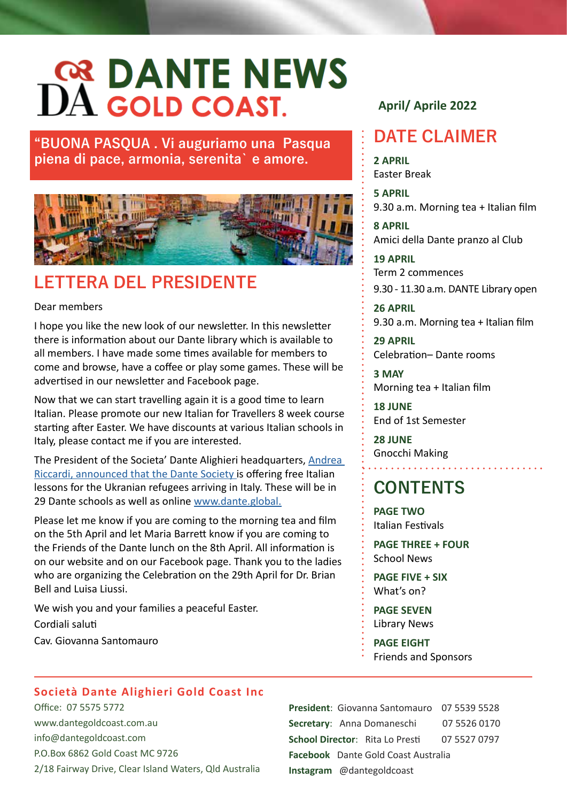**"BUONA PASQUA . Vi auguriamo una Pasqua piena di pace, armonia, serenita` e amore.**



# **LETTERA DEL PRESIDENTE**

#### Dear members

I hope you like the new look of our newsletter. In this newsletter there is information about our Dante library which is available to all members. I have made some times available for members to come and browse, have a coffee or play some games. These will be advertised in our newsletter and Facebook page.

Now that we can start travelling again it is a good time to learn Italian. Please promote our new Italian for Travellers 8 week course starting after Easter. We have discounts at various Italian schools in Italy, please contact me if you are interested.

The President of the Societa' Dante Alighieri headquarters, [Andrea](http://La Società )  [Riccardi, announced that the Dante Society](http://La Società ) is offering free Italian lessons for the Ukranian refugees arriving in Italy. These will be in 29 Dante schools as well as online [www.dante.global.](https://www.dante.global/en/press-area/press-releases/italia40-hybridclassroom-jan28th2022)

Please let me know if you are coming to the morning tea and film on the 5th April and let Maria Barrett know if you are coming to the Friends of the Dante lunch on the 8th April. All information is on our website and on our Facebook page. Thank you to the ladies who are organizing the Celebration on the 29th April for Dr. Brian Bell and Luisa Liussi.

We wish you and your families a peaceful Easter. Cordiali saluti Cav. Giovanna Santomauro

### **April/ Aprile 2022**

# **DATE CLAIMER**

**2 APRIL**  Easter Break

**5 APRIL**  9.30 a.m. Morning tea + Italian film

**8 APRIL**  Amici della Dante pranzo al Club

**19 APRIL**  Term 2 commences 9.30 - 11.30 a.m. DANTE Library open

**26 APRIL**  9.30 a.m. Morning tea + Italian film

**29 APRIL**  Celebration– Dante rooms

**3 MAY** Morning tea + Italian film

**18 JUNE** End of 1st Semester

**28 JUNE** Gnocchi Making

# **CONTENTS**

**PAGE TWO** Italian Festivals

**PAGE THREE + FOUR** School News

**PAGE FIVE + SIX** What's on?

**PAGE SEVEN** Library News

**PAGE EIGHT** Friends and Sponsors

### **Società Dante Alighieri Gold Coast Inc**

Office: 07 5575 5772 www.dantegoldcoast.com.au info@dantegoldcoast.com P.O.Box 6862 Gold Coast MC 9726 2/18 Fairway Drive, Clear Island Waters, Qld Australia

**President**: Giovanna Santomauro 07 5539 5528 **Secretary**: Anna Domaneschi 07 5526 0170 **School Director**: Rita Lo Presti 07 5527 0797 **Facebook** [Dante Gold Coast Australia](https://www.facebook.com/dantegc/?%20ref=stream) **Instagram** [@dantegoldcoast](https://www.instagram.com/dantegoldcoast/)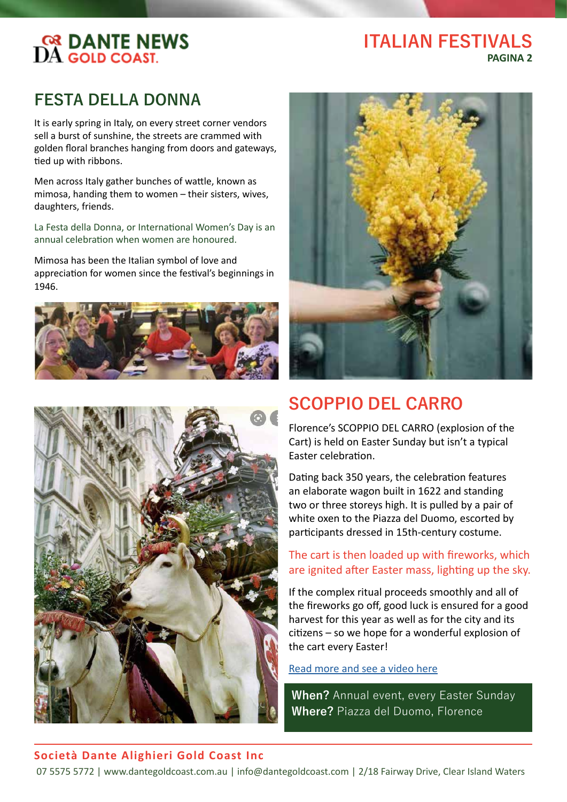#### **ITALIAN FESTIVALS PAGINA 2**

# **FESTA DELLA DONNA**

It is early spring in Italy, on every street corner vendors sell a burst of sunshine, the streets are crammed with golden floral branches hanging from doors and gateways, tied up with ribbons.

Men across Italy gather bunches of wattle, known as mimosa, handing them to women – their sisters, wives, daughters, friends.

La Festa della Donna, or International Women's Day is an annual celebration when women are honoured.

Mimosa has been the Italian symbol of love and appreciation for women since the festival's beginnings in 1946.







# **SCOPPIO DEL CARRO**

Florence's SCOPPIO DEL CARRO (explosion of the Cart) is held on Easter Sunday but isn't a typical Easter celebration.

Dating back 350 years, the celebration features an elaborate wagon built in 1622 and standing two or three storeys high. It is pulled by a pair of white oxen to the Piazza del Duomo, escorted by participants dressed in 15th-century costume.

#### The cart is then loaded up with fireworks, which are ignited after Easter mass, lighting up the sky.

If the complex ritual proceeds smoothly and all of the fireworks go off, good luck is ensured for a good harvest for this year as well as for the city and its citizens – so we hope for a wonderful explosion of the cart every Easter!

#### [Read more and see a video here](https://www.visittuscany.com/en/topevents/scoppio-del-carro-in-florence/)

**When?** Annual event, every Easter Sunday **Where?** Piazza del Duomo, Florence

#### **Società Dante Alighieri Gold Coast Inc**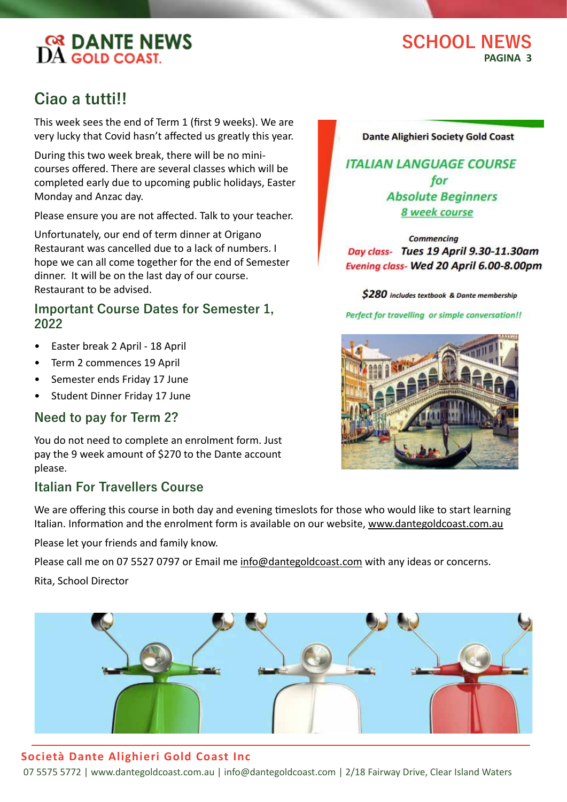# **SCHOOL NEWS PAGINA 3**

# **Ciao a tutti!!**

This week sees the end of Term 1 (first 9 weeks). We are very lucky that Covid hasn't affected us greatly this year.

During this two week break, there will be no minicourses offered. There are several classes which will be completed early due to upcoming public holidays, Easter Monday and Anzac day.

Please ensure you are not affected. Talk to your teacher.

Unfortunately, our end of term dinner at Origano Restaurant was cancelled due to a lack of numbers. I hope we can all come together for the end of Semester dinner. It will be on the last day of our course. Restaurant to be advised.

### **Important Course Dates for Semester 1, 2022**

- Easter break 2 April 18 April
- Term 2 commences 19 April
- Semester ends Friday 17 June
- Student Dinner Friday 17 June

### **Need to pay for Term 2?**

You do not need to complete an enrolment form. Just pay the 9 week amount of \$270 to the Dante account please.

# **Italian For Travellers Course**

We are offering this course in both day and evening timeslots for those who would like to start learning Italian. Information and the enrolment form is available on our website, www.dantegoldcoast.com.au

Please let your friends and family know.

Please call me on 07 5527 0797 or Email me info@dantegoldcoast.com with any ideas or concerns.

Rita, School Director

### **Società Dante Alighieri Gold Coast Inc**

07 5575 5772 | www.dantegoldcoast.com.au | info@dantegoldcoast.com | 2/18 Fairway Drive, Clear Island Waters

#### **Dante Alighieri Society Gold Coast**

**ITALIAN LANGUAGE COURSE** for **Absolute Beginners** 8 week course

Commencina Day class- Tues 19 April 9.30-11.30am Evening class- Wed 20 April 6.00-8.00pm

\$280 includes textbook & Dante membership

Perfect for travelling or simple conversation!!

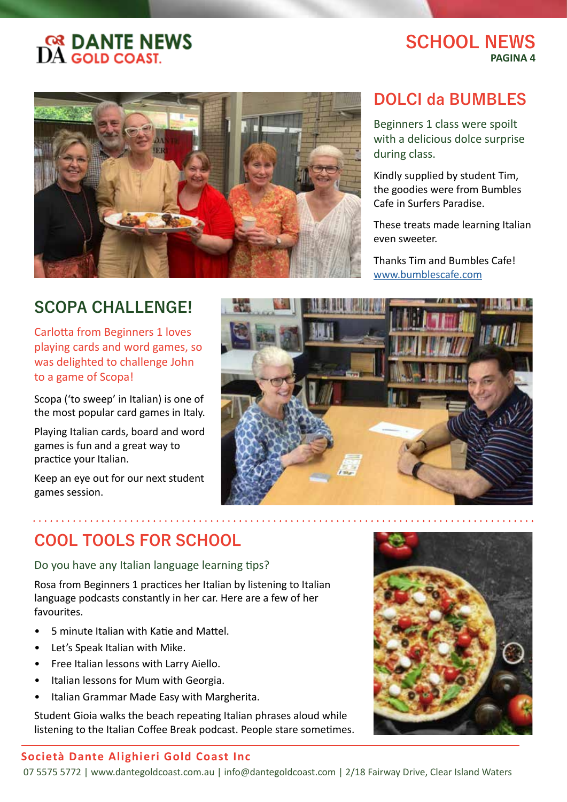# **SCHOOL NEWS PAGINA 4**



# **DOLCI da BUMBLES**

Beginners 1 class were spoilt with a delicious dolce surprise during class.

Kindly supplied by student Tim, the goodies were from Bumbles Cafe in Surfers Paradise.

These treats made learning Italian even sweeter.

Thanks Tim and Bumbles Cafe! [www.bumblescafe.com](https://www.bumblescafe.com/)

# **SCOPA CHALLENGE!**

Carlotta from Beginners 1 loves playing cards and word games, so was delighted to challenge John to a game of Scopa!

Scopa ('to sweep' in Italian) is one of the most popular card games in Italy.

Playing Italian cards, board and word games is fun and a great way to practice your Italian.

Keep an eye out for our next student games session.



# **COOL TOOLS FOR SCHOOL**

Do you have any Italian language learning tips?

Rosa from Beginners 1 practices her Italian by listening to Italian language podcasts constantly in her car. Here are a few of her favourites.

- 5 minute Italian with Katie and Mattel.
- Let's Speak Italian with Mike.
- Free Italian lessons with Larry Aiello.
- Italian lessons for Mum with Georgia.
- Italian Grammar Made Easy with Margherita.

Student Gioia walks the beach repeating Italian phrases aloud while listening to the Italian Coffee Break podcast. People stare sometimes.

#### **Società Dante Alighieri Gold Coast Inc**

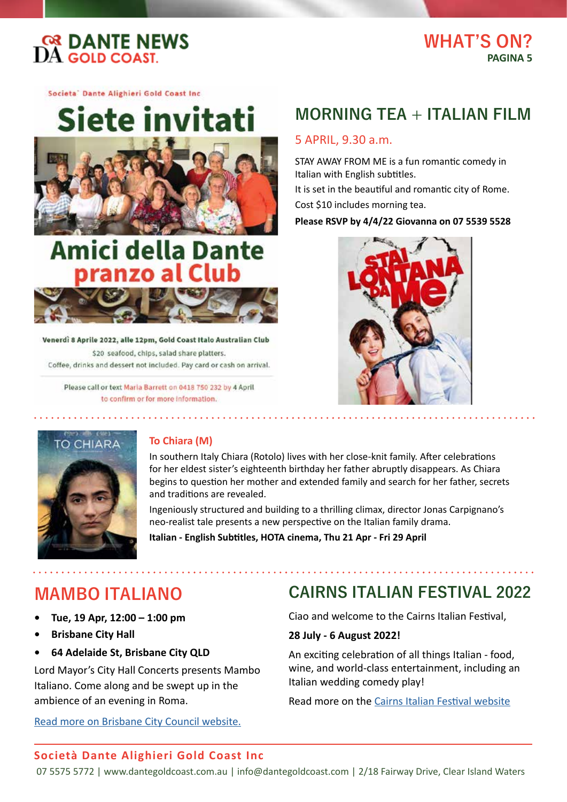

# **WHAT'S ON? PAGINA 5**

Societa<sup>-</sup> Dante Alighieri Gold Coast Inc.

Siete invitati

# **Amici della Dante** pranzo al Club



Venerdì 8 Aprile 2022, alle 12pm, Gold Coast Italo Australian Club \$20 seafood, chips, salad share platters. Coffee, drinks and dessert not included. Pay card or cash on arrival.

Please call or text Maria Barrett on 0418 750 232 by 4 April to confirm or for more information.

# **MORNING TEA + ITALIAN FILM**

#### 5 APRIL, 9.30 a.m.

STAY AWAY FROM ME is a fun romantic comedy in Italian with English subtitles.

It is set in the beautiful and romantic city of Rome. Cost \$10 includes morning tea.

**Please RSVP by 4/4/22 Giovanna on 07 5539 5528** 





### **To Chiara (M)**

In southern Italy Chiara (Rotolo) lives with her close-knit family. After celebrations for her eldest sister's eighteenth birthday her father abruptly disappears. As Chiara begins to question her mother and extended family and search for her father, secrets and traditions are revealed.

Ingeniously structured and building to a thrilling climax, director Jonas Carpignano's neo-realist tale presents a new perspective on the Italian family drama.

**Italian - English Subtitles, HOTA cinema, Thu 21 Apr - Fri 29 April**

# **MAMBO ITALIANO**

- **• Tue, 19 Apr, 12:00 1:00 pm**
- **• Brisbane City Hall**
- **• 64 Adelaide St, Brisbane City QLD**

Lord Mayor's City Hall Concerts presents Mambo Italiano. Come along and be swept up in the ambience of an evening in Roma.

[Read more on Brisbane City Council website.](https://www.brisbane.qld.gov.au/whats-on-and-events/event/lord-mayors-city-hall-concerts-mambo-italiano-157037674)

# **CAIRNS ITALIAN FESTIVAL 2022**

Ciao and welcome to the Cairns Italian Festival,

#### **28 July - 6 August 2022!**

An exciting celebration of all things Italian - food, wine, and world-class entertainment, including an Italian wedding comedy play!

Read more on the [Cairns Italian Festival website](https://cairnsitalianfestival.com.au/)

#### **Società Dante Alighieri Gold Coast Inc**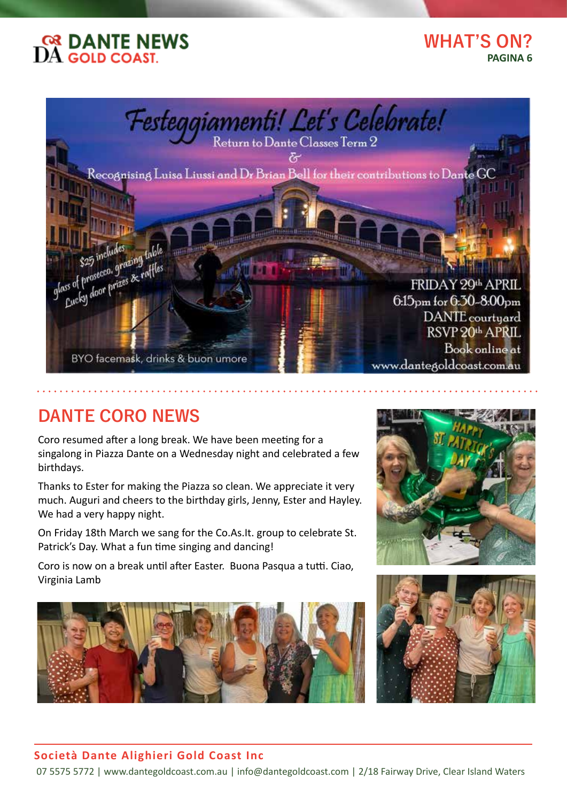

# **WHAT'S ON? PAGINA 6**



# **DANTE CORO NEWS**

Coro resumed after a long break. We have been meeting for a singalong in Piazza Dante on a Wednesday night and celebrated a few birthdays.

Thanks to Ester for making the Piazza so clean. We appreciate it very much. Auguri and cheers to the birthday girls, Jenny, Ester and Hayley. We had a very happy night.

On Friday 18th March we sang for the Co.As.It. group to celebrate St. Patrick's Day. What a fun time singing and dancing!

Coro is now on a break until after Easter. Buona Pasqua a tutti. Ciao, Virginia Lamb







#### **Società Dante Alighieri Gold Coast Inc**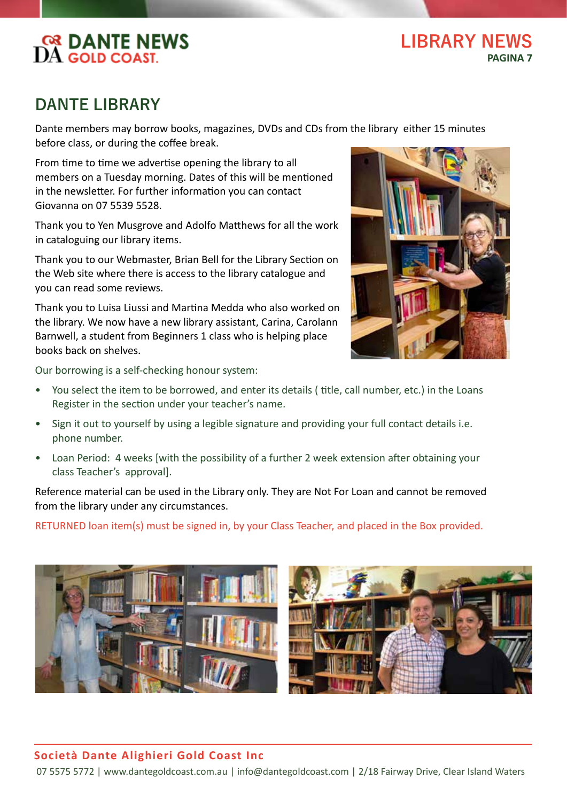**LIBRARY NEWS PAGINA 7**

# **DANTE LIBRARY**

Dante members may borrow books, magazines, DVDs and CDs from the library either 15 minutes before class, or during the coffee break.

From time to time we advertise opening the library to all members on a Tuesday morning. Dates of this will be mentioned in the newsletter. For further information you can contact Giovanna on 07 5539 5528.

Thank you to Yen Musgrove and Adolfo Matthews for all the work in cataloguing our library items.

Thank you to our Webmaster, Brian Bell for the Library Section on the Web site where there is access to the library catalogue and you can read some reviews.

Thank you to Luisa Liussi and Martina Medda who also worked on the library. We now have a new library assistant, Carina, Carolann Barnwell, a student from Beginners 1 class who is helping place books back on shelves.



Our borrowing is a self-checking honour system:

- You select the item to be borrowed, and enter its details ( title, call number, etc.) in the Loans Register in the section under your teacher's name.
- Sign it out to yourself by using a legible signature and providing your full contact details i.e. phone number.
- Loan Period: 4 weeks [with the possibility of a further 2 week extension after obtaining your class Teacher's approval].

Reference material can be used in the Library only. They are Not For Loan and cannot be removed from the library under any circumstances.

RETURNED loan item(s) must be signed in, by your Class Teacher, and placed in the Box provided.





### **Società Dante Alighieri Gold Coast Inc**